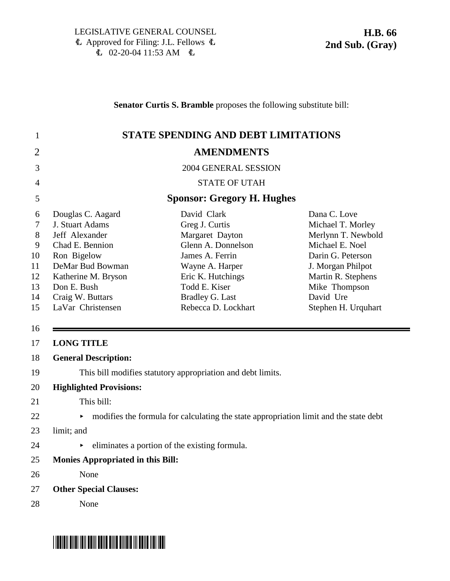**Senator Curtis S. Bramble** proposes the following substitute bill:

| $\mathbf{1}$                                               |                                                                                                                                                                                             | <b>STATE SPENDING AND DEBT LIMITATIONS</b>                                                                                                                                                          |                                                                                                                                                                                                 |
|------------------------------------------------------------|---------------------------------------------------------------------------------------------------------------------------------------------------------------------------------------------|-----------------------------------------------------------------------------------------------------------------------------------------------------------------------------------------------------|-------------------------------------------------------------------------------------------------------------------------------------------------------------------------------------------------|
| $\overline{2}$                                             |                                                                                                                                                                                             | <b>AMENDMENTS</b>                                                                                                                                                                                   |                                                                                                                                                                                                 |
| 3                                                          |                                                                                                                                                                                             | 2004 GENERAL SESSION                                                                                                                                                                                |                                                                                                                                                                                                 |
| 4                                                          |                                                                                                                                                                                             | <b>STATE OF UTAH</b>                                                                                                                                                                                |                                                                                                                                                                                                 |
| 5                                                          |                                                                                                                                                                                             | <b>Sponsor: Gregory H. Hughes</b>                                                                                                                                                                   |                                                                                                                                                                                                 |
| 6<br>7<br>8<br>9<br>10<br>11<br>12<br>13<br>14<br>15<br>16 | Douglas C. Aagard<br>J. Stuart Adams<br>Jeff Alexander<br>Chad E. Bennion<br>Ron Bigelow<br>DeMar Bud Bowman<br>Katherine M. Bryson<br>Don E. Bush<br>Craig W. Buttars<br>LaVar Christensen | David Clark<br>Greg J. Curtis<br>Margaret Dayton<br>Glenn A. Donnelson<br>James A. Ferrin<br>Wayne A. Harper<br>Eric K. Hutchings<br>Todd E. Kiser<br><b>Bradley G. Last</b><br>Rebecca D. Lockhart | Dana C. Love<br>Michael T. Morley<br>Merlynn T. Newbold<br>Michael E. Noel<br>Darin G. Peterson<br>J. Morgan Philpot<br>Martin R. Stephens<br>Mike Thompson<br>David Ure<br>Stephen H. Urquhart |
| 17                                                         | <b>LONG TITLE</b>                                                                                                                                                                           |                                                                                                                                                                                                     |                                                                                                                                                                                                 |
| 18                                                         | <b>General Description:</b>                                                                                                                                                                 |                                                                                                                                                                                                     |                                                                                                                                                                                                 |
| 19                                                         |                                                                                                                                                                                             | This bill modifies statutory appropriation and debt limits.                                                                                                                                         |                                                                                                                                                                                                 |
| 20                                                         | <b>Highlighted Provisions:</b>                                                                                                                                                              |                                                                                                                                                                                                     |                                                                                                                                                                                                 |
| 21                                                         | This bill:                                                                                                                                                                                  |                                                                                                                                                                                                     |                                                                                                                                                                                                 |
| 22                                                         | Þ.                                                                                                                                                                                          | modifies the formula for calculating the state appropriation limit and the state debt                                                                                                               |                                                                                                                                                                                                 |
| 23                                                         | limit; and                                                                                                                                                                                  |                                                                                                                                                                                                     |                                                                                                                                                                                                 |
| 24                                                         |                                                                                                                                                                                             | eliminates a portion of the existing formula.                                                                                                                                                       |                                                                                                                                                                                                 |
| 25                                                         | <b>Monies Appropriated in this Bill:</b>                                                                                                                                                    |                                                                                                                                                                                                     |                                                                                                                                                                                                 |
| 26                                                         | None                                                                                                                                                                                        |                                                                                                                                                                                                     |                                                                                                                                                                                                 |
| 27                                                         | <b>Other Special Clauses:</b>                                                                                                                                                               |                                                                                                                                                                                                     |                                                                                                                                                                                                 |
| 28                                                         | None                                                                                                                                                                                        |                                                                                                                                                                                                     |                                                                                                                                                                                                 |

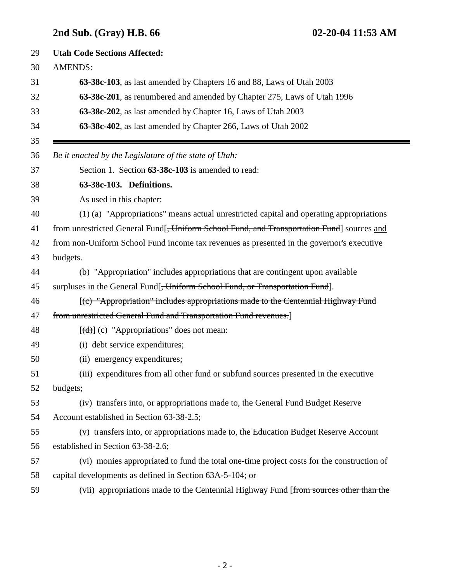# **2nd Sub. (Gray) H.B. 66 02-20-04 11:53 AM**

| 29       | <b>Utah Code Sections Affected:</b>                                                                                                                                                                                                                                                                                                                                                                                                                                                        |  |
|----------|--------------------------------------------------------------------------------------------------------------------------------------------------------------------------------------------------------------------------------------------------------------------------------------------------------------------------------------------------------------------------------------------------------------------------------------------------------------------------------------------|--|
| 30       | <b>AMENDS:</b>                                                                                                                                                                                                                                                                                                                                                                                                                                                                             |  |
| 31       | 63-38c-103, as last amended by Chapters 16 and 88, Laws of Utah 2003                                                                                                                                                                                                                                                                                                                                                                                                                       |  |
| 32       | 63-38c-201, as renumbered and amended by Chapter 275, Laws of Utah 1996                                                                                                                                                                                                                                                                                                                                                                                                                    |  |
| 33       | 63-38c-202, as last amended by Chapter 16, Laws of Utah 2003                                                                                                                                                                                                                                                                                                                                                                                                                               |  |
| 34<br>35 | 63-38c-402, as last amended by Chapter 266, Laws of Utah 2002                                                                                                                                                                                                                                                                                                                                                                                                                              |  |
| 36       | Be it enacted by the Legislature of the state of Utah:                                                                                                                                                                                                                                                                                                                                                                                                                                     |  |
| 37       | Section 1. Section 63-38c-103 is amended to read:                                                                                                                                                                                                                                                                                                                                                                                                                                          |  |
| 38       | 63-38c-103. Definitions.                                                                                                                                                                                                                                                                                                                                                                                                                                                                   |  |
| 39       | As used in this chapter:                                                                                                                                                                                                                                                                                                                                                                                                                                                                   |  |
| 40       | (1) (a) "Appropriations" means actual unrestricted capital and operating appropriations                                                                                                                                                                                                                                                                                                                                                                                                    |  |
| 41       | from unrestricted General Fund[ <del>, Uniform School Fund, and Transportation Fund</del> ] sources and                                                                                                                                                                                                                                                                                                                                                                                    |  |
| 42       | from non-Uniform School Fund income tax revenues as presented in the governor's executive                                                                                                                                                                                                                                                                                                                                                                                                  |  |
| 43       | budgets.                                                                                                                                                                                                                                                                                                                                                                                                                                                                                   |  |
| 44       | (b) "Appropriation" includes appropriations that are contingent upon available                                                                                                                                                                                                                                                                                                                                                                                                             |  |
| 45       | surpluses in the General Fund[ <del>, Uniform School Fund, or Transportation Fund</del> ].                                                                                                                                                                                                                                                                                                                                                                                                 |  |
| 46       | [(c) "Appropriation" includes appropriations made to the Centennial Highway Fund                                                                                                                                                                                                                                                                                                                                                                                                           |  |
| 47       | from unrestricted General Fund and Transportation Fund revenues.]                                                                                                                                                                                                                                                                                                                                                                                                                          |  |
| 48       | $[\text{d} \cdot \text{d} \cdot \text{d} \cdot \text{d} \cdot \text{d} \cdot \text{d} \cdot \text{d} \cdot \text{d} \cdot \text{d} \cdot \text{d} \cdot \text{d} \cdot \text{d} \cdot \text{d} \cdot \text{d} \cdot \text{d} \cdot \text{d} \cdot \text{d} \cdot \text{d} \cdot \text{d} \cdot \text{d} \cdot \text{d} \cdot \text{d} \cdot \text{d} \cdot \text{d} \cdot \text{d} \cdot \text{d} \cdot \text{d} \cdot \text{d} \cdot \text{d} \cdot \text{d} \cdot \text{d} \cdot \text{$ |  |
| 49       | (i) debt service expenditures;                                                                                                                                                                                                                                                                                                                                                                                                                                                             |  |
| 50       | (ii) emergency expenditures;                                                                                                                                                                                                                                                                                                                                                                                                                                                               |  |
| 51       | (iii) expenditures from all other fund or subfund sources presented in the executive                                                                                                                                                                                                                                                                                                                                                                                                       |  |
| 52       | budgets;                                                                                                                                                                                                                                                                                                                                                                                                                                                                                   |  |
| 53       | (iv) transfers into, or appropriations made to, the General Fund Budget Reserve                                                                                                                                                                                                                                                                                                                                                                                                            |  |
| 54       | Account established in Section 63-38-2.5;                                                                                                                                                                                                                                                                                                                                                                                                                                                  |  |
| 55       | (v) transfers into, or appropriations made to, the Education Budget Reserve Account                                                                                                                                                                                                                                                                                                                                                                                                        |  |
| 56       | established in Section 63-38-2.6;                                                                                                                                                                                                                                                                                                                                                                                                                                                          |  |
| 57       | (vi) monies appropriated to fund the total one-time project costs for the construction of                                                                                                                                                                                                                                                                                                                                                                                                  |  |
| 58       | capital developments as defined in Section 63A-5-104; or                                                                                                                                                                                                                                                                                                                                                                                                                                   |  |
| 59       | (vii) appropriations made to the Centennial Highway Fund [from sources other than the                                                                                                                                                                                                                                                                                                                                                                                                      |  |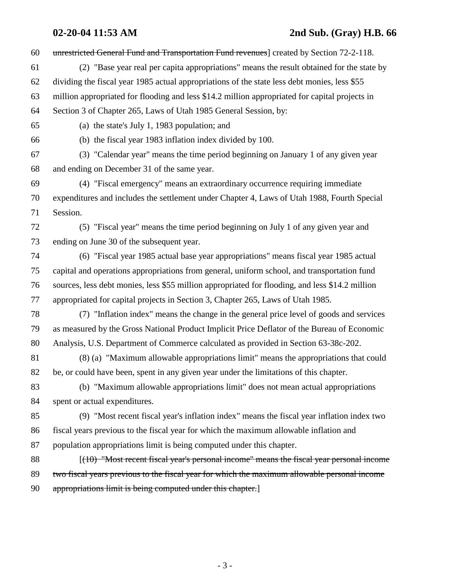## **02-20-04 11:53 AM 2nd Sub. (Gray) H.B. 66**

60 unrestricted General Fund and Transportation Fund revenues] created by Section 72-2-118. 61 (2) "Base year real per capita appropriations" means the result obtained for the state by 62 dividing the fiscal year 1985 actual appropriations of the state less debt monies, less \$55 63 million appropriated for flooding and less \$14.2 million appropriated for capital projects in 64 Section 3 of Chapter 265, Laws of Utah 1985 General Session, by: 65 (a) the state's July 1, 1983 population; and 66 (b) the fiscal year 1983 inflation index divided by 100. 67 (3) "Calendar year" means the time period beginning on January 1 of any given year 68 and ending on December 31 of the same year. 69 (4) "Fiscal emergency" means an extraordinary occurrence requiring immediate 70 expenditures and includes the settlement under Chapter 4, Laws of Utah 1988, Fourth Special 71 Session. 72 (5) "Fiscal year" means the time period beginning on July 1 of any given year and 73 ending on June 30 of the subsequent year. 74 (6) "Fiscal year 1985 actual base year appropriations" means fiscal year 1985 actual 75 capital and operations appropriations from general, uniform school, and transportation fund 76 sources, less debt monies, less \$55 million appropriated for flooding, and less \$14.2 million 77 appropriated for capital projects in Section 3, Chapter 265, Laws of Utah 1985. 78 (7) "Inflation index" means the change in the general price level of goods and services 79 as measured by the Gross National Product Implicit Price Deflator of the Bureau of Economic 80 Analysis, U.S. Department of Commerce calculated as provided in Section 63-38c-202. 81 (8) (a) "Maximum allowable appropriations limit" means the appropriations that could 82 be, or could have been, spent in any given year under the limitations of this chapter. 83 (b) "Maximum allowable appropriations limit" does not mean actual appropriations 84 spent or actual expenditures. 85 (9) "Most recent fiscal year's inflation index" means the fiscal year inflation index two 86 fiscal years previous to the fiscal year for which the maximum allowable inflation and 87 population appropriations limit is being computed under this chapter. 88 [(10) "Most recent fiscal year's personal income" means the fiscal year personal income 89 two fiscal years previous to the fiscal year for which the maximum allowable personal income 90 appropriations limit is being computed under this chapter.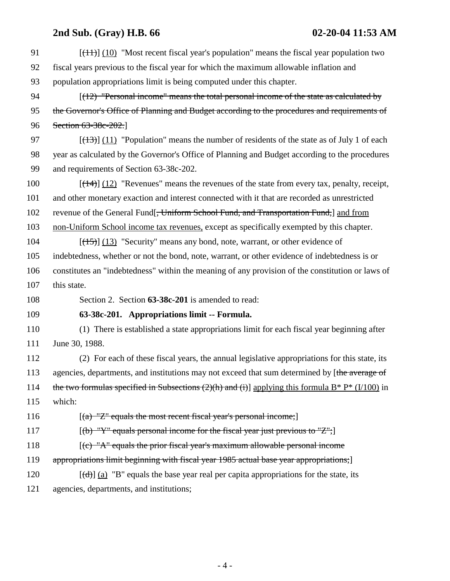# **2nd Sub. (Gray) H.B. 66 02-20-04 11:53 AM**

| 91  | $[\frac{(11)}{(10)}]$ "Most recent fiscal year's population" means the fiscal year population two    |
|-----|------------------------------------------------------------------------------------------------------|
| 92  | fiscal years previous to the fiscal year for which the maximum allowable inflation and               |
| 93  | population appropriations limit is being computed under this chapter.                                |
| 94  | $[(12)$ "Personal income" means the total personal income of the state as calculated by              |
| 95  | the Governor's Office of Planning and Budget according to the procedures and requirements of         |
| 96  | Section 63-38c-202.                                                                                  |
| 97  | $[ (13) ] (11)$ "Population" means the number of residents of the state as of July 1 of each         |
| 98  | year as calculated by the Governor's Office of Planning and Budget according to the procedures       |
| 99  | and requirements of Section 63-38c-202.                                                              |
| 100 | $[(14)]$ (12) "Revenues" means the revenues of the state from every tax, penalty, receipt,           |
| 101 | and other monetary exaction and interest connected with it that are recorded as unrestricted         |
| 102 | revenue of the General Fund[ <del>, Uniform School Fund, and Transportation Fund,</del> ] and from   |
| 103 | non-Uniform School income tax revenues, except as specifically exempted by this chapter.             |
| 104 | $[ (15) ]$ (13) "Security" means any bond, note, warrant, or other evidence of                       |
| 105 | indebtedness, whether or not the bond, note, warrant, or other evidence of indebtedness is or        |
| 106 | constitutes an "indebtedness" within the meaning of any provision of the constitution or laws of     |
| 107 | this state.                                                                                          |
| 108 | Section 2. Section 63-38c-201 is amended to read:                                                    |
| 109 | 63-38c-201. Appropriations limit -- Formula.                                                         |
| 110 | (1) There is established a state appropriations limit for each fiscal year beginning after           |
| 111 | June 30, 1988.                                                                                       |
| 112 | (2) For each of these fiscal years, the annual legislative appropriations for this state, its        |
| 113 | agencies, departments, and institutions may not exceed that sum determined by [the average of        |
| 114 | the two formulas specified in Subsections (2)(h) and (i)] applying this formula $B^* P^* (1/100)$ in |
| 115 | which:                                                                                               |
| 116 | $[(a)$ "Z" equals the most recent fiscal year's personal income;                                     |
| 117 | $[(b)$ "Y" equals personal income for the fiscal year just previous to "Z";                          |
| 118 | $(c)$ "A" equals the prior fiscal year's maximum allowable personal income                           |
| 119 | appropriations limit beginning with fiscal year 1985 actual base year appropriations;]               |
| 120 | $[\text{(\text{d})}]$ (a) "B" equals the base year real per capita appropriations for the state, its |
| 121 | agencies, departments, and institutions;                                                             |
|     |                                                                                                      |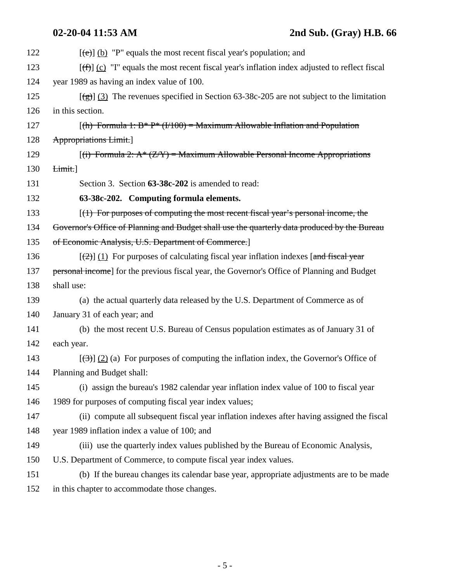| 122 | $[\text{e}\text{e}\text{e}]$ (b) "P" equals the most recent fiscal year's population; and                       |
|-----|-----------------------------------------------------------------------------------------------------------------|
| 123 | $[\text{f} \hat{\tau}]$ (c) "I" equals the most recent fiscal year's inflation index adjusted to reflect fiscal |
| 124 | year 1989 as having an index value of 100.                                                                      |
| 125 | $\left[\frac{1}{2}\right]$ (3) The revenues specified in Section 63-38c-205 are not subject to the limitation   |
| 126 | in this section.                                                                                                |
| 127 | $[(h)$ Formula 1: B* P* (I/100) = Maximum Allowable Inflation and Population                                    |
| 128 | <b>Appropriations Limit.</b>                                                                                    |
| 129 | $[(i)$ Formula 2: $A^*(Z/Y)$ = Maximum Allowable Personal Income Appropriations                                 |
| 130 | Limit.                                                                                                          |
| 131 | Section 3. Section 63-38c-202 is amended to read:                                                               |
| 132 | 63-38c-202. Computing formula elements.                                                                         |
| 133 | $(1)$ For purposes of computing the most recent fiscal year's personal income, the                              |
| 134 | Governor's Office of Planning and Budget shall use the quarterly data produced by the Bureau                    |
| 135 | of Economic Analysis, U.S. Department of Commerce.]                                                             |
| 136 | $[\frac{1}{2}]$ (1) For purposes of calculating fiscal year inflation indexes [and fiscal year                  |
| 137 | personal income] for the previous fiscal year, the Governor's Office of Planning and Budget                     |
| 138 | shall use:                                                                                                      |
| 139 | (a) the actual quarterly data released by the U.S. Department of Commerce as of                                 |
| 140 | January 31 of each year; and                                                                                    |
| 141 | (b) the most recent U.S. Bureau of Census population estimates as of January 31 of                              |
| 142 | each year.                                                                                                      |
| 143 | $[\frac{1}{2}]$ (2) (a) For purposes of computing the inflation index, the Governor's Office of                 |
| 144 | Planning and Budget shall:                                                                                      |
| 145 | (i) assign the bureau's 1982 calendar year inflation index value of 100 to fiscal year                          |
| 146 | 1989 for purposes of computing fiscal year index values;                                                        |
| 147 | (ii) compute all subsequent fiscal year inflation indexes after having assigned the fiscal                      |
| 148 | year 1989 inflation index a value of 100; and                                                                   |
| 149 | (iii) use the quarterly index values published by the Bureau of Economic Analysis,                              |
| 150 | U.S. Department of Commerce, to compute fiscal year index values.                                               |
| 151 | (b) If the bureau changes its calendar base year, appropriate adjustments are to be made                        |
| 152 | in this chapter to accommodate those changes.                                                                   |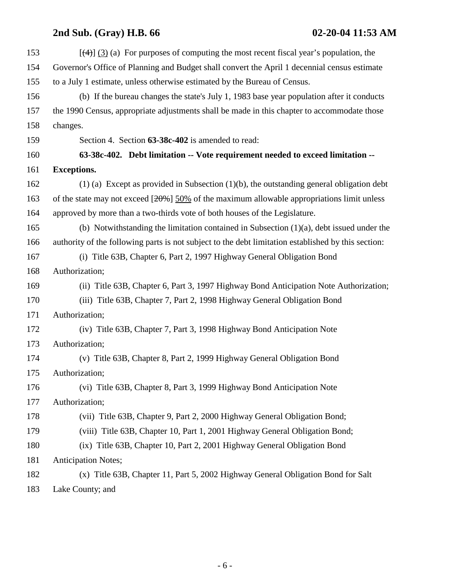# **2nd Sub. (Gray) H.B. 66 02-20-04 11:53 AM**

| 153 | $[\frac{4}{3}]$ (3) (a) For purposes of computing the most recent fiscal year's population, the     |
|-----|-----------------------------------------------------------------------------------------------------|
| 154 | Governor's Office of Planning and Budget shall convert the April 1 decennial census estimate        |
| 155 | to a July 1 estimate, unless otherwise estimated by the Bureau of Census.                           |
| 156 | (b) If the bureau changes the state's July 1, 1983 base year population after it conducts           |
| 157 | the 1990 Census, appropriate adjustments shall be made in this chapter to accommodate those         |
| 158 | changes.                                                                                            |
| 159 | Section 4. Section 63-38c-402 is amended to read:                                                   |
| 160 | 63-38c-402. Debt limitation -- Vote requirement needed to exceed limitation --                      |
| 161 | <b>Exceptions.</b>                                                                                  |
| 162 | $(1)$ (a) Except as provided in Subsection $(1)(b)$ , the outstanding general obligation debt       |
| 163 | of the state may not exceed $[20\%]$ 50% of the maximum allowable appropriations limit unless       |
| 164 | approved by more than a two-thirds vote of both houses of the Legislature.                          |
| 165 | (b) Notwithstanding the limitation contained in Subsection $(1)(a)$ , debt issued under the         |
| 166 | authority of the following parts is not subject to the debt limitation established by this section: |
| 167 | (i) Title 63B, Chapter 6, Part 2, 1997 Highway General Obligation Bond                              |
| 168 | Authorization;                                                                                      |
| 169 | (ii) Title 63B, Chapter 6, Part 3, 1997 Highway Bond Anticipation Note Authorization;               |
| 170 | (iii) Title 63B, Chapter 7, Part 2, 1998 Highway General Obligation Bond                            |
| 171 | Authorization;                                                                                      |
| 172 | (iv) Title 63B, Chapter 7, Part 3, 1998 Highway Bond Anticipation Note                              |
| 173 | Authorization;                                                                                      |
| 174 | (v) Title 63B, Chapter 8, Part 2, 1999 Highway General Obligation Bond                              |
| 175 | Authorization;                                                                                      |
| 176 | (vi) Title 63B, Chapter 8, Part 3, 1999 Highway Bond Anticipation Note                              |
| 177 | Authorization;                                                                                      |
| 178 | (vii) Title 63B, Chapter 9, Part 2, 2000 Highway General Obligation Bond;                           |
| 179 | (viii) Title 63B, Chapter 10, Part 1, 2001 Highway General Obligation Bond;                         |
| 180 | (ix) Title 63B, Chapter 10, Part 2, 2001 Highway General Obligation Bond                            |
| 181 | <b>Anticipation Notes;</b>                                                                          |
| 182 | (x) Title 63B, Chapter 11, Part 5, 2002 Highway General Obligation Bond for Salt                    |
|     |                                                                                                     |

183 Lake County; and